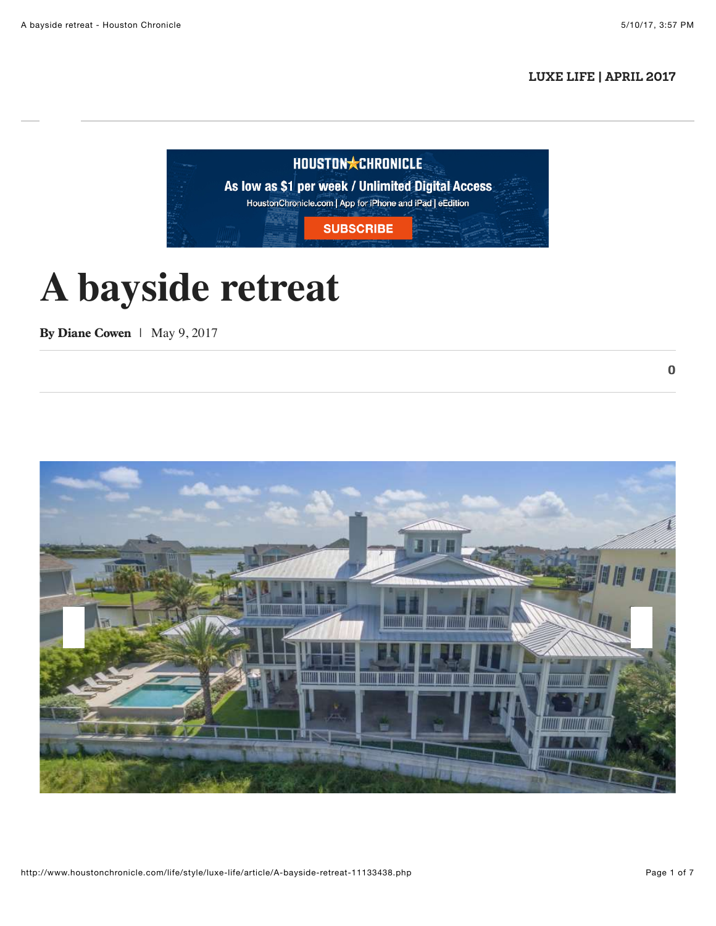$\bf{0}$ 

## **[LUXE LIFE | APRIL 2017](http://www.houstonchronicle.com/lifestyle/style/luxe-life/)**



# **A bayside retreat**

By [Diane Cowen](http://www.houstonchronicle.com/author/diane-cowen/) | May 9, 2017

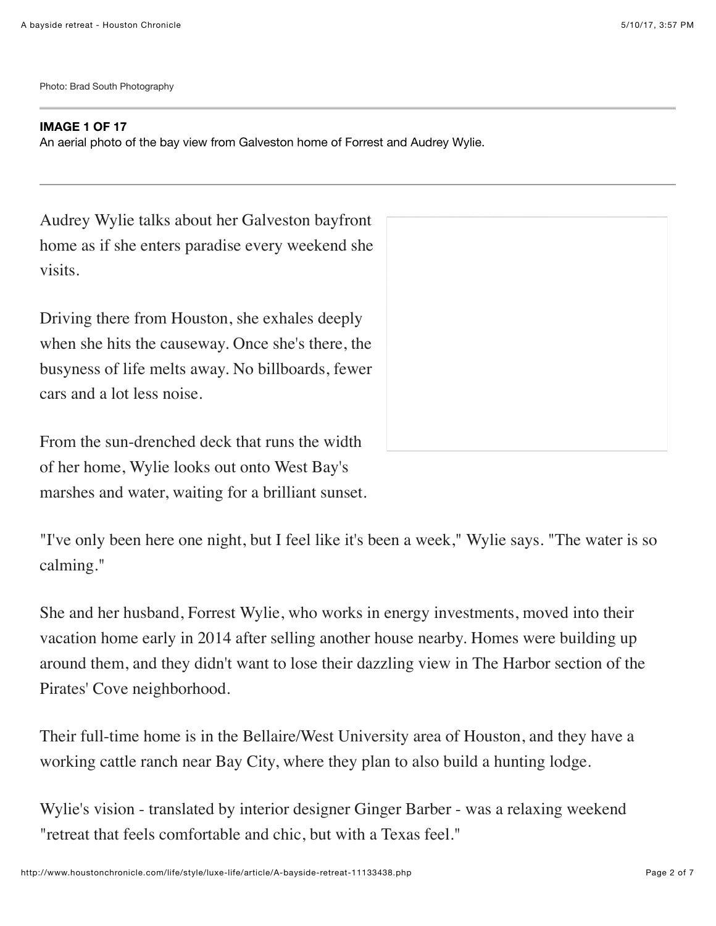Photo: Brad South Photography

#### **IMAGE 1 OF 17**

An aerial photo of the bay view from Galveston home of Forrest and Audrey Wylie.

Audrey Wylie talks about her Galveston bayfront home as if she enters paradise every weekend she visits.

Driving there from Houston, she exhales deeply when she hits the causeway. Once she's there, the busyness of life melts away. No billboards, fewer cars and a lot less noise.

From the sun-drenched deck that runs the width of her home, Wylie looks out onto West Bay's marshes and water, waiting for a brilliant sunset.

"I've only been here one night, but I feel like it's been a week," Wylie says. "The water is so calming."

She and her husband, Forrest Wylie, who works in energy investments, moved into their vacation home early in 2014 after selling another house nearby. Homes were building up around them, and they didn't want to lose their dazzling view in The Harbor section of the Pirates' Cove neighborhood.

Their full-time home is in the Bellaire/West University area of Houston, and they have a working cattle ranch near Bay City, where they plan to also build a hunting lodge.

Wylie's vision - translated by interior designer Ginger Barber - was a relaxing weekend "retreat that feels comfortable and chic, but with a Texas feel."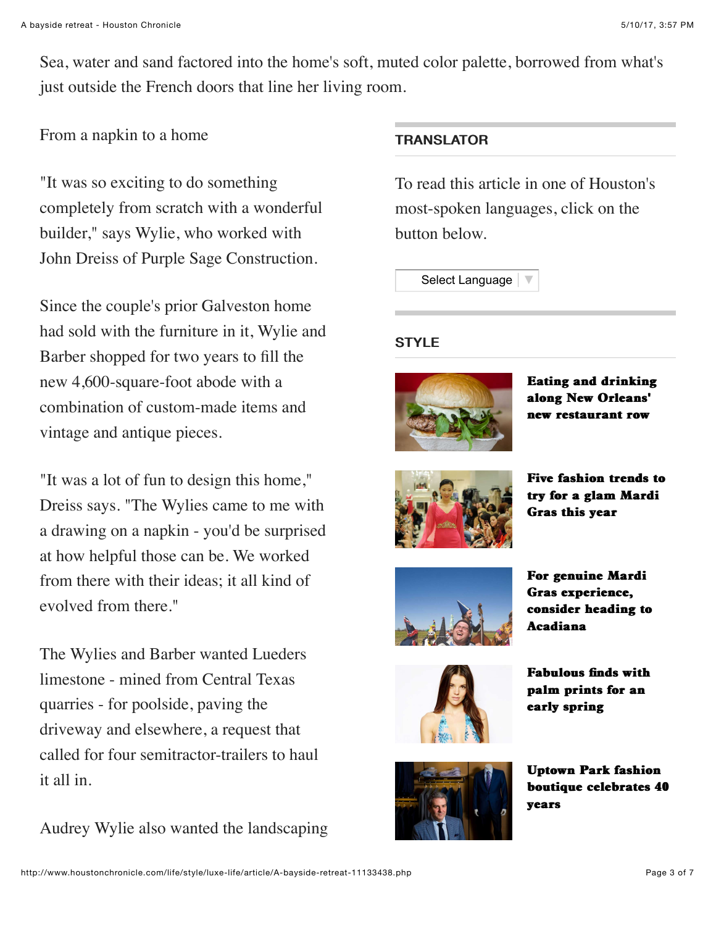Sea, water and sand factored into the home's soft, muted color palette, borrowed from what's just outside the French doors that line her living room.

## From a napkin to a home

"It was so exciting to do something completely from scratch with a wonderful builder," says Wylie, who worked with John Dreiss of Purple Sage Construction.

Since the couple's prior Galveston home had sold with the furniture in it, Wylie and Barber shopped for two years to fill the new 4,600-square-foot abode with a combination of custom-made items and vintage and antique pieces.

"It was a lot of fun to design this home," Dreiss says. "The Wylies came to me with a drawing on a napkin - you'd be surprised at how helpful those can be. We worked from there with their ideas; it all kind of evolved from there."

The Wylies and Barber wanted Lueders limestone - mined from Central Texas quarries - for poolside, paving the driveway and elsewhere, a request that called for four semitractor-trailers to haul it all in.

Audrey Wylie also wanted the landscaping

## **TRANSLATOR**

To read this article in one of Houston's most-spoken languages, click on the button below.

[Select Language](javascript:void(0)) |

#### **STYLE**



[Eating and drinking](http://www.houstonchronicle.com/life/style/travel/article/Eating-and-drinking-along-New-Orleans-new-5165824.php) along New Orleans' new restaurant row



[Five fashion trends to](http://www.houstonchronicle.com/life/style/fashion/article/Five-fashion-trends-to-try-for-a-glam-Mardi-Gras-5165831.php) try for a glam Mardi Gras this year



For genuine Mardi Gras experience, [consider heading to](http://www.houstonchronicle.com/life/style/travel/article/For-genuine-Mardi-Gras-experience-consider-5165835.php) **Acadiana** 



Fabulous finds with [palm prints for an](http://www.houstonchronicle.com/life/style/lust-list/article/Fabulous-finds-with-palm-prints-for-an-early-5165814.php) early spring



**Uptown Park fashion** [boutique celebrates 40](http://www.houstonchronicle.com/life/style/window-shopping/article/Uptown-Park-fashion-boutique-celebrates-40-years-5146456.php) years years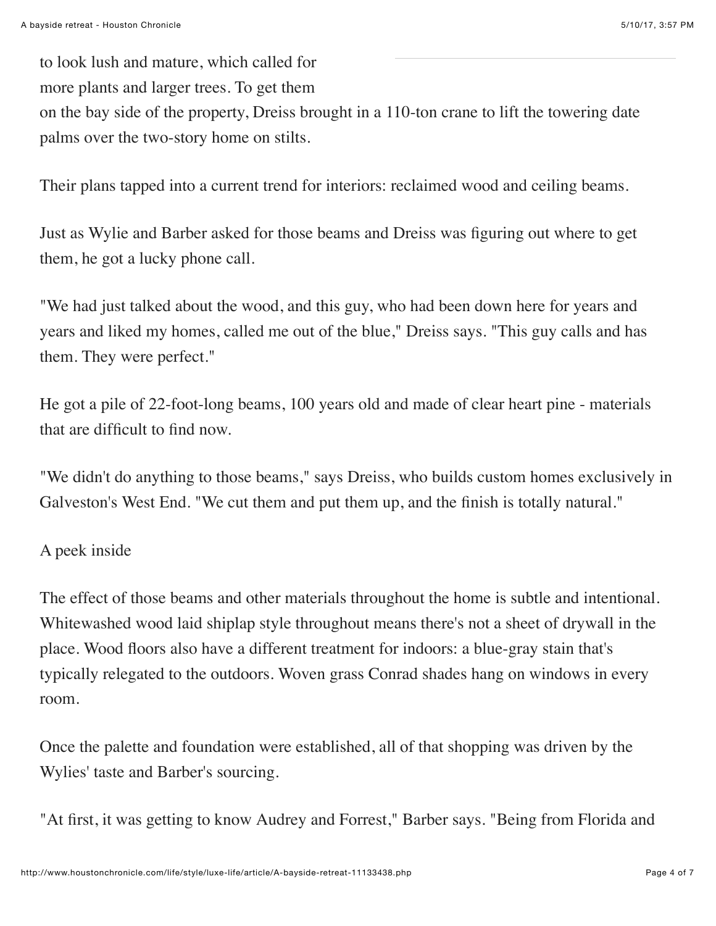to look lush and mature, which called for more plants and larger trees. To get them on the bay side of the property, Dreiss brought in a 110-ton crane to lift the towering date palms over the two-story home on stilts.

Their plans tapped into a current trend for interiors: reclaimed wood and ceiling beams.

Just as Wylie and Barber asked for those beams and Dreiss was figuring out where to get them, he got a lucky phone call.

"We had just talked about the wood, and this guy, who had been down here for years and years and liked my homes, called me out of the blue," Dreiss says. "This guy calls and has them. They were perfect."

He got a pile of 22-foot-long beams, 100 years old and made of clear heart pine - materials that are difficult to find now.

"We didn't do anything to those beams," says Dreiss, who builds custom homes exclusively in Galveston's West End. "We cut them and put them up, and the finish is totally natural."

# A peek inside

The effect of those beams and other materials throughout the home is subtle and intentional. Whitewashed wood laid shiplap style throughout means there's not a sheet of drywall in the place. Wood floors also have a different treatment for indoors: a blue-gray stain that's typically relegated to the outdoors. Woven grass Conrad shades hang on windows in every room.

Once the palette and foundation were established, all of that shopping was driven by the Wylies' taste and Barber's sourcing.

"At first, it was getting to know Audrey and Forrest," Barber says. "Being from Florida and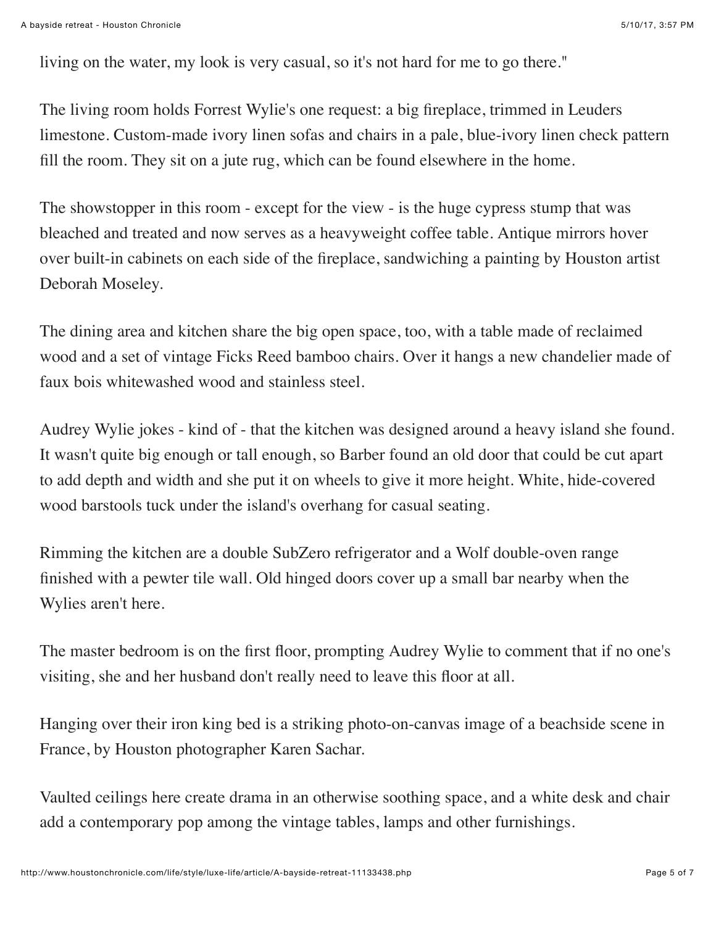living on the water, my look is very casual, so it's not hard for me to go there."

The living room holds Forrest Wylie's one request: a big fireplace, trimmed in Leuders limestone. Custom-made ivory linen sofas and chairs in a pale, blue-ivory linen check pattern fill the room. They sit on a jute rug, which can be found elsewhere in the home.

The showstopper in this room - except for the view - is the huge cypress stump that was bleached and treated and now serves as a heavyweight coffee table. Antique mirrors hover over built-in cabinets on each side of the fireplace, sandwiching a painting by Houston artist Deborah Moseley.

The dining area and kitchen share the big open space, too, with a table made of reclaimed wood and a set of vintage Ficks Reed bamboo chairs. Over it hangs a new chandelier made of faux bois whitewashed wood and stainless steel.

Audrey Wylie jokes - kind of - that the kitchen was designed around a heavy island she found. It wasn't quite big enough or tall enough, so Barber found an old door that could be cut apart to add depth and width and she put it on wheels to give it more height. White, hide-covered wood barstools tuck under the island's overhang for casual seating.

Rimming the kitchen are a double SubZero refrigerator and a Wolf double-oven range finished with a pewter tile wall. Old hinged doors cover up a small bar nearby when the Wylies aren't here.

The master bedroom is on the first floor, prompting Audrey Wylie to comment that if no one's visiting, she and her husband don't really need to leave this floor at all.

Hanging over their iron king bed is a striking photo-on-canvas image of a beachside scene in France, by Houston photographer Karen Sachar.

Vaulted ceilings here create drama in an otherwise soothing space, and a white desk and chair add a contemporary pop among the vintage tables, lamps and other furnishings.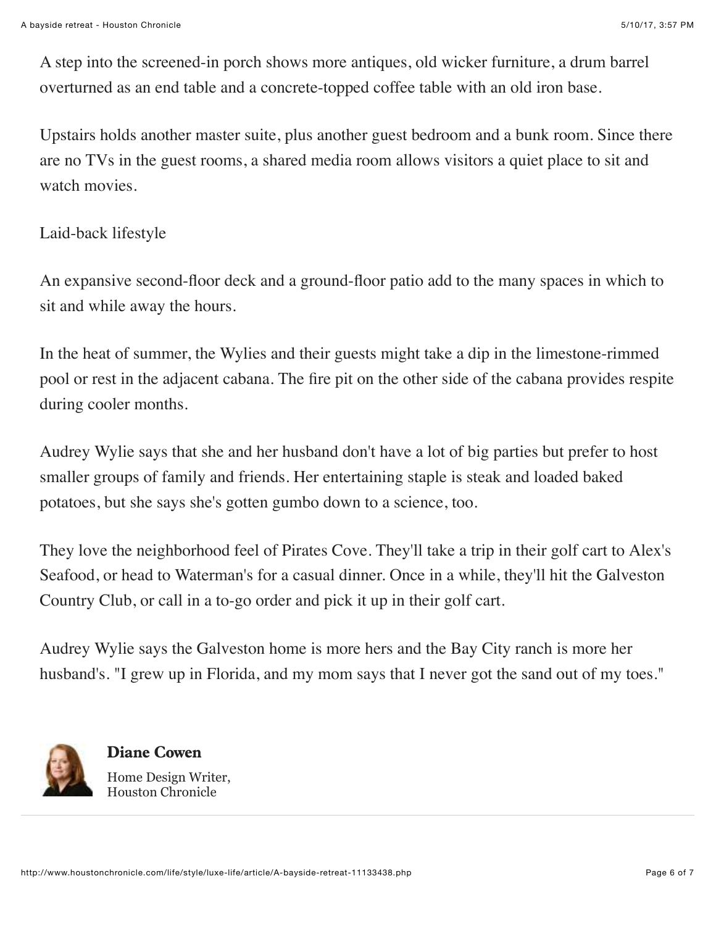A step into the screened-in porch shows more antiques, old wicker furniture, a drum barrel overturned as an end table and a concrete-topped coffee table with an old iron base.

Upstairs holds another master suite, plus another guest bedroom and a bunk room. Since there are no TVs in the guest rooms, a shared media room allows visitors a quiet place to sit and watch movies.

## Laid-back lifestyle

An expansive second-floor deck and a ground-floor patio add to the many spaces in which to sit and while away the hours.

In the heat of summer, the Wylies and their guests might take a dip in the limestone-rimmed pool or rest in the adjacent cabana. The fire pit on the other side of the cabana provides respite during cooler months.

Audrey Wylie says that she and her husband don't have a lot of big parties but prefer to host smaller groups of family and friends. Her entertaining staple is steak and loaded baked potatoes, but she says she's gotten gumbo down to a science, too.

They love the neighborhood feel of Pirates Cove. They'll take a trip in their golf cart to Alex's Seafood, or head to Waterman's for a casual dinner. Once in a while, they'll hit the Galveston Country Club, or call in a to-go order and pick it up in their golf cart.

Audrey Wylie says the Galveston home is more hers and the Bay City ranch is more her husband's. "I grew up in Florida, and my mom says that I never got the sand out of my toes."



[Diane Cowen](http://www.houstonchronicle.com/author/diane-cowen/) Home Design Writer, Houston Chronicle